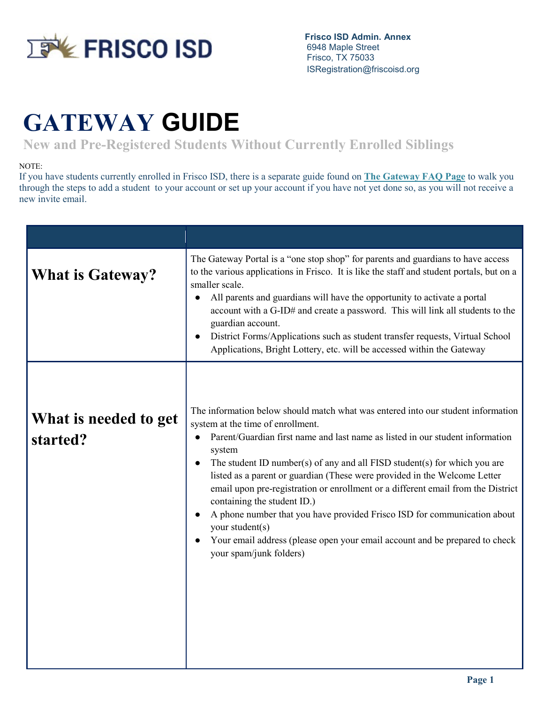

 **Frisco ISD Admin. Annex** 6948 Maple Street Frisco, TX 75033 ISRegistration@friscoisd.org

## **GATEWAY GUIDE**

**New and Pre-Registered Students Without Currently Enrolled Siblings**

## NOTE:

If you have students currently enrolled in Frisco ISD, there is a separate guide found on **[The Gateway FAQ Page](https://www.friscoisd.org/about/resources-and-information/gateway-faqs)** to walk you through the steps to add a student to your account or set up your account if you have not yet done so, as you will not receive a new invite email.

| <b>What is Gateway?</b>           | The Gateway Portal is a "one stop shop" for parents and guardians to have access<br>to the various applications in Frisco. It is like the staff and student portals, but on a<br>smaller scale.<br>All parents and guardians will have the opportunity to activate a portal<br>account with a G-ID# and create a password. This will link all students to the<br>guardian account.<br>District Forms/Applications such as student transfer requests, Virtual School<br>Applications, Bright Lottery, etc. will be accessed within the Gateway                                                                                                                                                                       |
|-----------------------------------|---------------------------------------------------------------------------------------------------------------------------------------------------------------------------------------------------------------------------------------------------------------------------------------------------------------------------------------------------------------------------------------------------------------------------------------------------------------------------------------------------------------------------------------------------------------------------------------------------------------------------------------------------------------------------------------------------------------------|
| What is needed to get<br>started? | The information below should match what was entered into our student information<br>system at the time of enrollment.<br>Parent/Guardian first name and last name as listed in our student information<br>$\bullet$<br>system<br>The student ID number(s) of any and all FISD student(s) for which you are<br>listed as a parent or guardian (These were provided in the Welcome Letter<br>email upon pre-registration or enrollment or a different email from the District<br>containing the student ID.)<br>A phone number that you have provided Frisco ISD for communication about<br>your student(s)<br>Your email address (please open your email account and be prepared to check<br>your spam/junk folders) |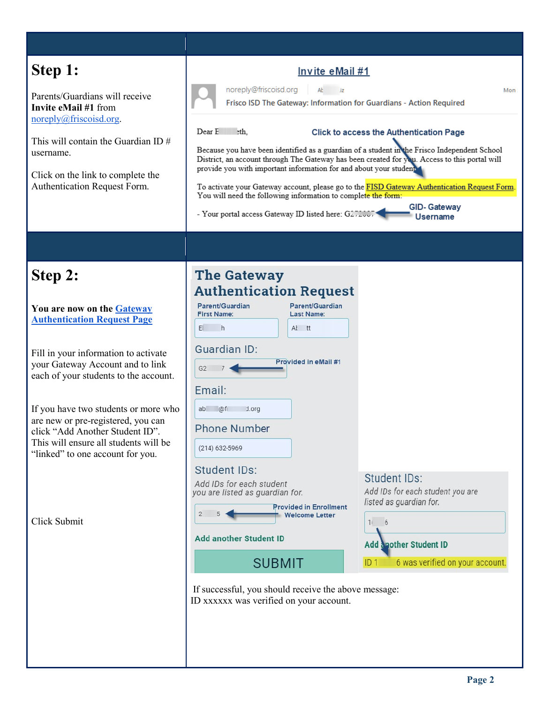| Step 1:<br>Parents/Guardians will receive<br>Invite eMail #1 from<br>noreply@friscoisd.org.<br>This will contain the Guardian ID $#$<br>username.<br>Click on the link to complete the<br>Authentication Request Form.                                                                                                                                                                                         | Invite eMail #1<br>noreply@friscoisd.org<br>AŁ<br>Mon<br>Frisco ISD The Gateway: Information for Guardians - Action Required<br>Dear E<br>eth.<br>Click to access the Authentication Page<br>Because you have been identified as a guardian of a student in the Frisco Independent School<br>District, an account through The Gateway has been created for you. Access to this portal will<br>provide you with important information for and about your student of<br>To activate your Gateway account, please go to the FISD Gateway Authentication Request Form.<br>You will need the following information to complete the form:<br><b>GID-Gateway</b><br>- Your portal access Gateway ID listed here: G272007<br><b>Username</b> |                                                                                                                                                                    |
|----------------------------------------------------------------------------------------------------------------------------------------------------------------------------------------------------------------------------------------------------------------------------------------------------------------------------------------------------------------------------------------------------------------|--------------------------------------------------------------------------------------------------------------------------------------------------------------------------------------------------------------------------------------------------------------------------------------------------------------------------------------------------------------------------------------------------------------------------------------------------------------------------------------------------------------------------------------------------------------------------------------------------------------------------------------------------------------------------------------------------------------------------------------|--------------------------------------------------------------------------------------------------------------------------------------------------------------------|
|                                                                                                                                                                                                                                                                                                                                                                                                                |                                                                                                                                                                                                                                                                                                                                                                                                                                                                                                                                                                                                                                                                                                                                      |                                                                                                                                                                    |
| Step 2:<br>You are now on the Gateway<br><b>Authentication Request Page</b><br>Fill in your information to activate<br>your Gateway Account and to link<br>each of your students to the account.<br>If you have two students or more who<br>are new or pre-registered, you can<br>click "Add Another Student ID".<br>This will ensure all students will be<br>"linked" to one account for you.<br>Click Submit | <b>The Gateway</b><br><b>Authentication Request</b><br>Parent/Guardian<br>Parent/Guardian<br><b>First Name:</b><br>Last Name:<br>h<br>At tt<br>EL<br><b>Guardian ID:</b><br>Provided in eMail #1<br>G2<br>Email:<br>d.org<br>@f<br>ab<br><b>Phone Number</b><br>$(214)$ 632-5969<br><b>Student IDs:</b><br>Add IDs for each student<br>you are listed as guardian for.<br><b>Provided in Enrollment</b><br>$\overline{2}$<br><b>Welcome Letter</b><br><b>Add another Student ID</b><br><b>SUBMIT</b><br>If successful, you should receive the above message:<br>ID xxxxxx was verified on your account.                                                                                                                              | Student IDs:<br>Add IDs for each student you are<br>listed as guardian for.<br>6<br>11<br><b>Add apother Student ID</b><br>6 was verified on your account.<br>ID 1 |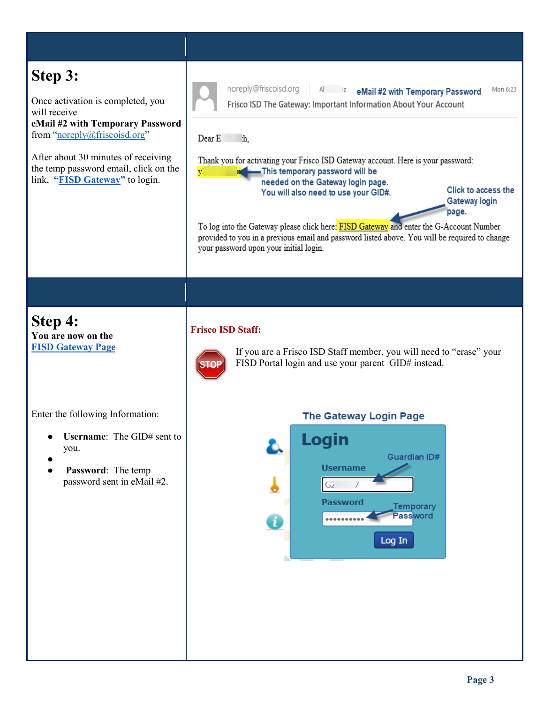